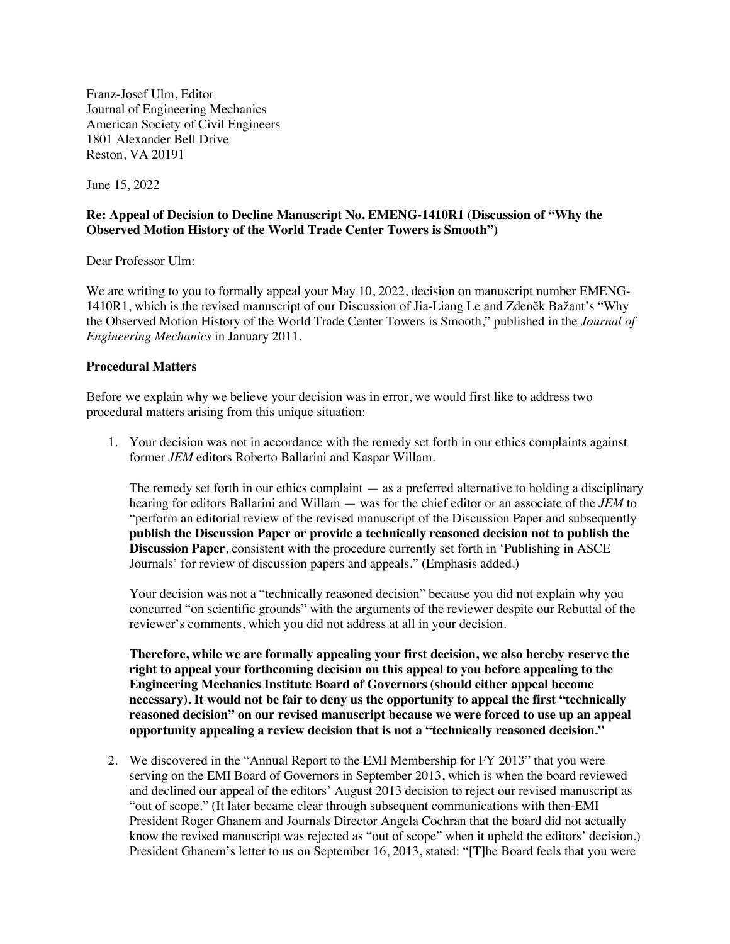Franz-Josef Ulm, Editor Journal of Engineering Mechanics American Society of Civil Engineers 1801 Alexander Bell Drive Reston, VA 20191

June 15, 2022

## **Re: Appeal of Decision to Decline Manuscript No. EMENG-1410R1 (Discussion of "Why the Observed Motion History of the World Trade Center Towers is Smooth")**

Dear Professor Ulm:

We are writing to you to formally appeal your May 10, 2022, decision on manuscript number EMENG-1410R1, which is the revised manuscript of our Discussion of Jia-Liang Le and Zdeněk Bažant's "Why the Observed Motion History of the World Trade Center Towers is Smooth," published in the *Journal of Engineering Mechanics* in January 2011.

## **Procedural Matters**

Before we explain why we believe your decision was in error, we would first like to address two procedural matters arising from this unique situation:

1. Your decision was not in accordance with the remedy set forth in our ethics complaints against former *JEM* editors Roberto Ballarini and Kaspar Willam.

The remedy set forth in our ethics complaint — as a preferred alternative to holding a disciplinary hearing for editors Ballarini and Willam — was for the chief editor or an associate of the *JEM* to "perform an editorial review of the revised manuscript of the Discussion Paper and subsequently **publish the Discussion Paper or provide a technically reasoned decision not to publish the Discussion Paper**, consistent with the procedure currently set forth in 'Publishing in ASCE Journals' for review of discussion papers and appeals." (Emphasis added.)

Your decision was not a "technically reasoned decision" because you did not explain why you concurred "on scientific grounds" with the arguments of the reviewer despite our Rebuttal of the reviewer's comments, which you did not address at all in your decision.

**Therefore, while we are formally appealing your first decision, we also hereby reserve the right to appeal your forthcoming decision on this appeal to you before appealing to the Engineering Mechanics Institute Board of Governors (should either appeal become necessary). It would not be fair to deny us the opportunity to appeal the first "technically reasoned decision" on our revised manuscript because we were forced to use up an appeal opportunity appealing a review decision that is not a "technically reasoned decision."**

2. We discovered in the "Annual Report to the EMI Membership for FY 2013" that you were serving on the EMI Board of Governors in September 2013, which is when the board reviewed and declined our appeal of the editors' August 2013 decision to reject our revised manuscript as "out of scope." (It later became clear through subsequent communications with then-EMI President Roger Ghanem and Journals Director Angela Cochran that the board did not actually know the revised manuscript was rejected as "out of scope" when it upheld the editors' decision.) President Ghanem's letter to us on September 16, 2013, stated: "[T]he Board feels that you were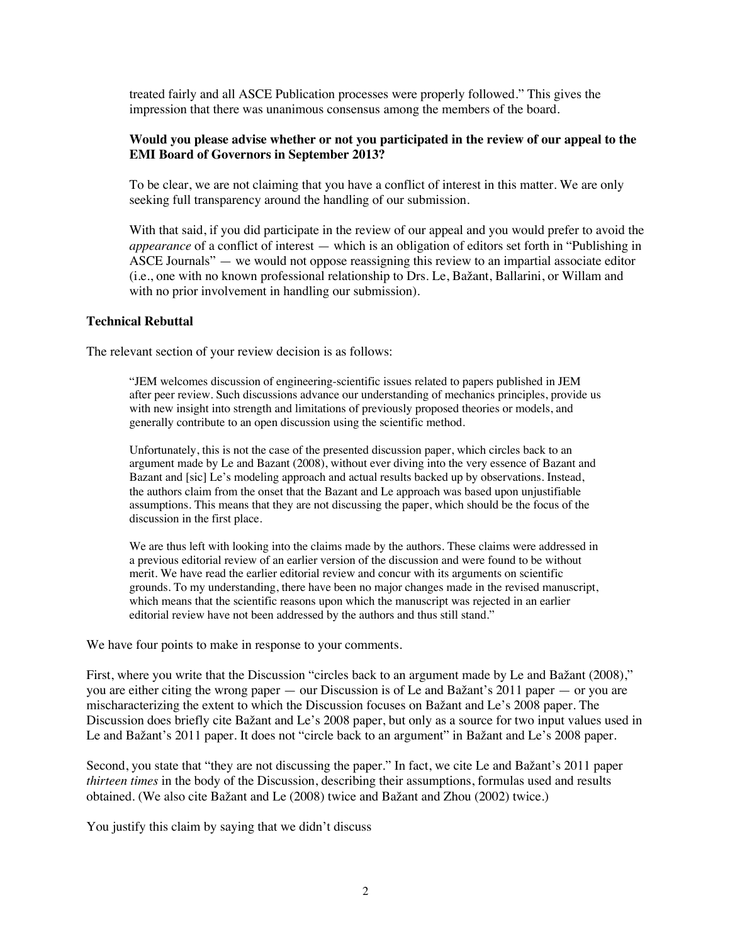treated fairly and all ASCE Publication processes were properly followed." This gives the impression that there was unanimous consensus among the members of the board.

## **Would you please advise whether or not you participated in the review of our appeal to the EMI Board of Governors in September 2013?**

To be clear, we are not claiming that you have a conflict of interest in this matter. We are only seeking full transparency around the handling of our submission.

With that said, if you did participate in the review of our appeal and you would prefer to avoid the *appearance* of a conflict of interest — which is an obligation of editors set forth in "Publishing in ASCE Journals" — we would not oppose reassigning this review to an impartial associate editor (i.e., one with no known professional relationship to Drs. Le, Bažant, Ballarini, or Willam and with no prior involvement in handling our submission).

## **Technical Rebuttal**

The relevant section of your review decision is as follows:

"JEM welcomes discussion of engineering-scientific issues related to papers published in JEM after peer review. Such discussions advance our understanding of mechanics principles, provide us with new insight into strength and limitations of previously proposed theories or models, and generally contribute to an open discussion using the scientific method.

Unfortunately, this is not the case of the presented discussion paper, which circles back to an argument made by Le and Bazant (2008), without ever diving into the very essence of Bazant and Bazant and [sic] Le's modeling approach and actual results backed up by observations. Instead, the authors claim from the onset that the Bazant and Le approach was based upon unjustifiable assumptions. This means that they are not discussing the paper, which should be the focus of the discussion in the first place.

We are thus left with looking into the claims made by the authors. These claims were addressed in a previous editorial review of an earlier version of the discussion and were found to be without merit. We have read the earlier editorial review and concur with its arguments on scientific grounds. To my understanding, there have been no major changes made in the revised manuscript, which means that the scientific reasons upon which the manuscript was rejected in an earlier editorial review have not been addressed by the authors and thus still stand."

We have four points to make in response to your comments.

First, where you write that the Discussion "circles back to an argument made by Le and Bažant (2008)," you are either citing the wrong paper — our Discussion is of Le and Bažant's 2011 paper — or you are mischaracterizing the extent to which the Discussion focuses on Bažant and Le's 2008 paper. The Discussion does briefly cite Bažant and Le's 2008 paper, but only as a source for two input values used in Le and Bažant's 2011 paper. It does not "circle back to an argument" in Bažant and Le's 2008 paper.

Second, you state that "they are not discussing the paper." In fact, we cite Le and Bažant's 2011 paper *thirteen times* in the body of the Discussion, describing their assumptions, formulas used and results obtained. (We also cite Bažant and Le (2008) twice and Bažant and Zhou (2002) twice.)

You justify this claim by saying that we didn't discuss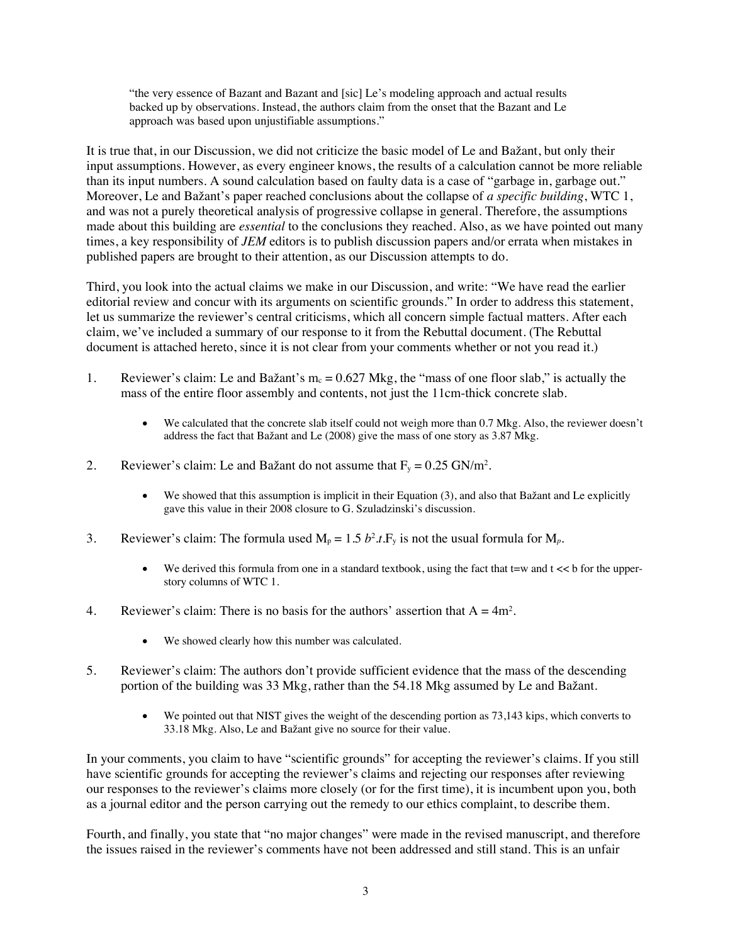"the very essence of Bazant and Bazant and [sic] Le's modeling approach and actual results backed up by observations. Instead, the authors claim from the onset that the Bazant and Le approach was based upon unjustifiable assumptions."

It is true that, in our Discussion, we did not criticize the basic model of Le and Bažant, but only their input assumptions. However, as every engineer knows, the results of a calculation cannot be more reliable than its input numbers. A sound calculation based on faulty data is a case of "garbage in, garbage out." Moreover, Le and Bažant's paper reached conclusions about the collapse of *a specific building*, WTC 1, and was not a purely theoretical analysis of progressive collapse in general. Therefore, the assumptions made about this building are *essential* to the conclusions they reached. Also, as we have pointed out many times, a key responsibility of *JEM* editors is to publish discussion papers and/or errata when mistakes in published papers are brought to their attention, as our Discussion attempts to do.

Third, you look into the actual claims we make in our Discussion, and write: "We have read the earlier editorial review and concur with its arguments on scientific grounds." In order to address this statement, let us summarize the reviewer's central criticisms, which all concern simple factual matters. After each claim, we've included a summary of our response to it from the Rebuttal document. (The Rebuttal document is attached hereto, since it is not clear from your comments whether or not you read it.)

- 1. Reviewer's claim: Le and Bažant's  $m_c = 0.627$  Mkg, the "mass of one floor slab," is actually the mass of the entire floor assembly and contents, not just the 11cm-thick concrete slab.
	- We calculated that the concrete slab itself could not weigh more than 0.7 Mkg. Also, the reviewer doesn't address the fact that Bažant and Le (2008) give the mass of one story as 3.87 Mkg.
- 2. Reviewer's claim: Le and Bažant do not assume that  $F_y = 0.25$  GN/m<sup>2</sup>.
	- We showed that this assumption is implicit in their Equation (3), and also that Bažant and Le explicitly gave this value in their 2008 closure to G. Szuladzinski's discussion.
- 3. Reviewer's claim: The formula used  $M_p = 1.5 b^2 t$ . F<sub>y</sub> is not the usual formula for  $M_p$ .
	- We derived this formula from one in a standard textbook, using the fact that  $t = w$  and  $t \ll b$  for the upperstory columns of WTC 1.
- 4. Reviewer's claim: There is no basis for the authors' assertion that  $A = 4m^2$ .
	- We showed clearly how this number was calculated.
- 5. Reviewer's claim: The authors don't provide sufficient evidence that the mass of the descending portion of the building was 33 Mkg, rather than the 54.18 Mkg assumed by Le and Bažant.
	- We pointed out that NIST gives the weight of the descending portion as  $73,143$  kips, which converts to 33.18 Mkg. Also, Le and Bažant give no source for their value.

In your comments, you claim to have "scientific grounds" for accepting the reviewer's claims. If you still have scientific grounds for accepting the reviewer's claims and rejecting our responses after reviewing our responses to the reviewer's claims more closely (or for the first time), it is incumbent upon you, both as a journal editor and the person carrying out the remedy to our ethics complaint, to describe them.

Fourth, and finally, you state that "no major changes" were made in the revised manuscript, and therefore the issues raised in the reviewer's comments have not been addressed and still stand. This is an unfair